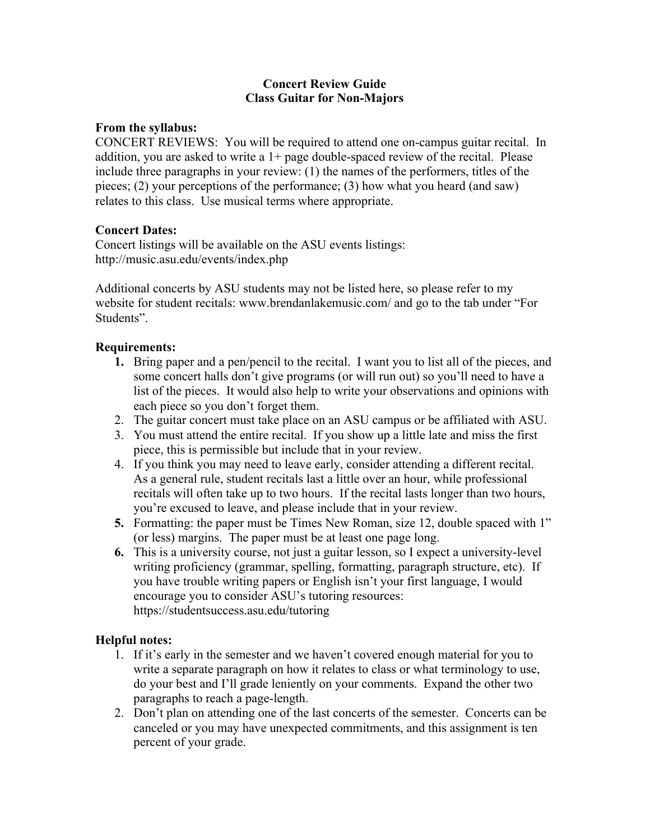# **Concert Review Guide Class Guitar for Non-Majors**

# **From the syllabus:**

CONCERT REVIEWS: You will be required to attend one on-campus guitar recital. In addition, you are asked to write a 1+ page double-spaced review of the recital. Please include three paragraphs in your review: (1) the names of the performers, titles of the pieces; (2) your perceptions of the performance; (3) how what you heard (and saw) relates to this class. Use musical terms where appropriate.

# **Concert Dates:**

Concert listings will be available on the ASU events listings: http://music.asu.edu/events/index.php

Additional concerts by ASU students may not be listed here, so please refer to my website for student recitals: www.brendanlakemusic.com/ and go to the tab under "For Students".

# **Requirements:**

- **1.** Bring paper and a pen/pencil to the recital. I want you to list all of the pieces, and some concert halls don't give programs (or will run out) so you'll need to have a list of the pieces. It would also help to write your observations and opinions with each piece so you don't forget them.
- 2. The guitar concert must take place on an ASU campus or be affiliated with ASU.
- 3. You must attend the entire recital. If you show up a little late and miss the first piece, this is permissible but include that in your review.
- 4. If you think you may need to leave early, consider attending a different recital. As a general rule, student recitals last a little over an hour, while professional recitals will often take up to two hours. If the recital lasts longer than two hours, you're excused to leave, and please include that in your review.
- **5.** Formatting: the paper must be Times New Roman, size 12, double spaced with 1" (or less) margins. The paper must be at least one page long.
- **6.** This is a university course, not just a guitar lesson, so I expect a university-level writing proficiency (grammar, spelling, formatting, paragraph structure, etc). If you have trouble writing papers or English isn't your first language, I would encourage you to consider ASU's tutoring resources: https://studentsuccess.asu.edu/tutoring

### **Helpful notes:**

- 1. If it's early in the semester and we haven't covered enough material for you to write a separate paragraph on how it relates to class or what terminology to use, do your best and I'll grade leniently on your comments. Expand the other two paragraphs to reach a page-length.
- 2. Don't plan on attending one of the last concerts of the semester. Concerts can be canceled or you may have unexpected commitments, and this assignment is ten percent of your grade.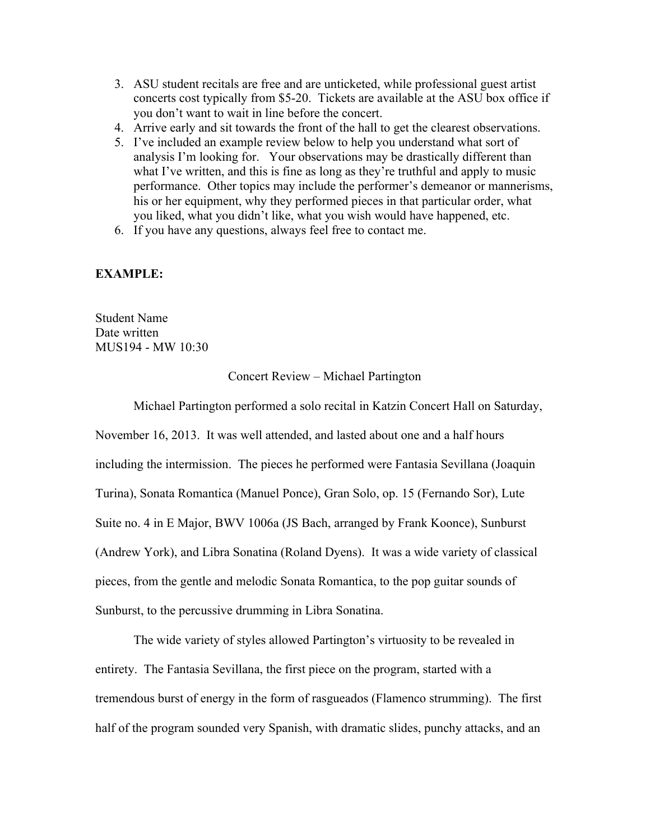- 3. ASU student recitals are free and are unticketed, while professional guest artist concerts cost typically from \$5-20. Tickets are available at the ASU box office if you don't want to wait in line before the concert.
- 4. Arrive early and sit towards the front of the hall to get the clearest observations.
- 5. I've included an example review below to help you understand what sort of analysis I'm looking for. Your observations may be drastically different than what I've written, and this is fine as long as they're truthful and apply to music performance. Other topics may include the performer's demeanor or mannerisms, his or her equipment, why they performed pieces in that particular order, what you liked, what you didn't like, what you wish would have happened, etc.
- 6. If you have any questions, always feel free to contact me.

# **EXAMPLE:**

Student Name Date written MUS194 - MW 10:30

#### Concert Review – Michael Partington

Michael Partington performed a solo recital in Katzin Concert Hall on Saturday,

November 16, 2013. It was well attended, and lasted about one and a half hours including the intermission. The pieces he performed were Fantasia Sevillana (Joaquin Turina), Sonata Romantica (Manuel Ponce), Gran Solo, op. 15 (Fernando Sor), Lute Suite no. 4 in E Major, BWV 1006a (JS Bach, arranged by Frank Koonce), Sunburst (Andrew York), and Libra Sonatina (Roland Dyens). It was a wide variety of classical pieces, from the gentle and melodic Sonata Romantica, to the pop guitar sounds of Sunburst, to the percussive drumming in Libra Sonatina.

The wide variety of styles allowed Partington's virtuosity to be revealed in entirety. The Fantasia Sevillana, the first piece on the program, started with a tremendous burst of energy in the form of rasgueados (Flamenco strumming). The first half of the program sounded very Spanish, with dramatic slides, punchy attacks, and an